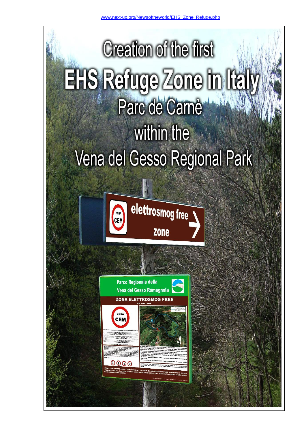



elettrosmog free **Zone** 

Parco Regionale della Vena del Gesso Romagnola **ZONA ELETTROSMOG FREE** 





 $0000$